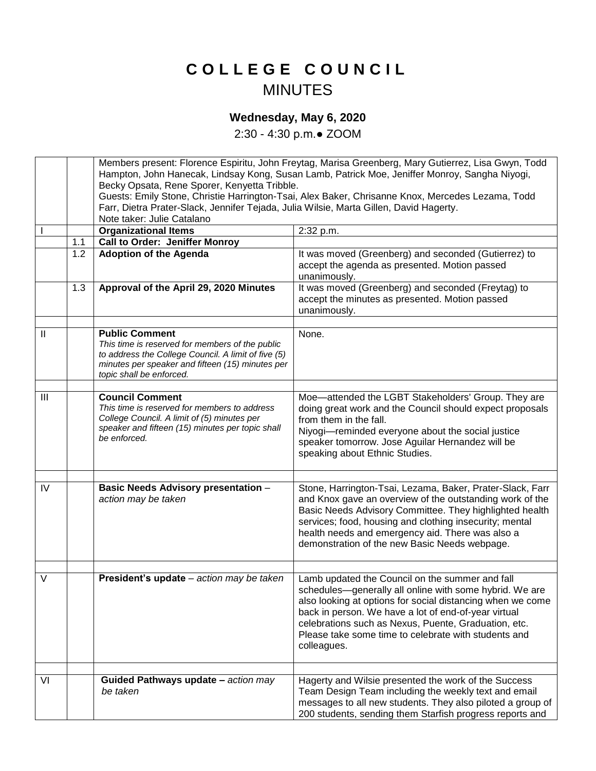## **C O L L E G E C O U N C I L** MINUTES

## **Wednesday, May 6, 2020**

2:30 - 4:30 p.m.● ZOOM

|               |     | Members present: Florence Espiritu, John Freytag, Marisa Greenberg, Mary Gutierrez, Lisa Gwyn, Todd                                           |                                                                                                                    |
|---------------|-----|-----------------------------------------------------------------------------------------------------------------------------------------------|--------------------------------------------------------------------------------------------------------------------|
|               |     | Hampton, John Hanecak, Lindsay Kong, Susan Lamb, Patrick Moe, Jeniffer Monroy, Sangha Niyogi,<br>Becky Opsata, Rene Sporer, Kenyetta Tribble. |                                                                                                                    |
|               |     | Guests: Emily Stone, Christie Harrington-Tsai, Alex Baker, Chrisanne Knox, Mercedes Lezama, Todd                                              |                                                                                                                    |
|               |     | Farr, Dietra Prater-Slack, Jennifer Tejada, Julia Wilsie, Marta Gillen, David Hagerty.                                                        |                                                                                                                    |
|               |     | Note taker: Julie Catalano                                                                                                                    |                                                                                                                    |
|               |     | <b>Organizational Items</b>                                                                                                                   | 2:32 p.m.                                                                                                          |
|               | 1.1 | Call to Order: Jeniffer Monroy                                                                                                                |                                                                                                                    |
|               | 1.2 | <b>Adoption of the Agenda</b>                                                                                                                 | It was moved (Greenberg) and seconded (Gutierrez) to                                                               |
|               |     |                                                                                                                                               | accept the agenda as presented. Motion passed                                                                      |
|               |     |                                                                                                                                               | unanimously.                                                                                                       |
|               | 1.3 | Approval of the April 29, 2020 Minutes                                                                                                        | It was moved (Greenberg) and seconded (Freytag) to                                                                 |
|               |     |                                                                                                                                               | accept the minutes as presented. Motion passed                                                                     |
|               |     |                                                                                                                                               | unanimously.                                                                                                       |
|               |     |                                                                                                                                               |                                                                                                                    |
| $\mathbf{II}$ |     | <b>Public Comment</b>                                                                                                                         | None.                                                                                                              |
|               |     | This time is reserved for members of the public                                                                                               |                                                                                                                    |
|               |     | to address the College Council. A limit of five (5)                                                                                           |                                                                                                                    |
|               |     | minutes per speaker and fifteen (15) minutes per                                                                                              |                                                                                                                    |
|               |     | topic shall be enforced.                                                                                                                      |                                                                                                                    |
|               |     |                                                                                                                                               |                                                                                                                    |
| III           |     | <b>Council Comment</b><br>This time is reserved for members to address                                                                        | Moe-attended the LGBT Stakeholders' Group. They are                                                                |
|               |     | College Council. A limit of (5) minutes per                                                                                                   | doing great work and the Council should expect proposals                                                           |
|               |     | speaker and fifteen (15) minutes per topic shall                                                                                              | from them in the fall.                                                                                             |
|               |     | be enforced.                                                                                                                                  | Niyogi-reminded everyone about the social justice                                                                  |
|               |     |                                                                                                                                               | speaker tomorrow. Jose Aguilar Hernandez will be                                                                   |
|               |     |                                                                                                                                               | speaking about Ethnic Studies.                                                                                     |
|               |     |                                                                                                                                               |                                                                                                                    |
| IV            |     | <b>Basic Needs Advisory presentation -</b>                                                                                                    | Stone, Harrington-Tsai, Lezama, Baker, Prater-Slack, Farr                                                          |
|               |     | action may be taken                                                                                                                           | and Knox gave an overview of the outstanding work of the                                                           |
|               |     |                                                                                                                                               | Basic Needs Advisory Committee. They highlighted health                                                            |
|               |     |                                                                                                                                               | services; food, housing and clothing insecurity; mental                                                            |
|               |     |                                                                                                                                               | health needs and emergency aid. There was also a                                                                   |
|               |     |                                                                                                                                               | demonstration of the new Basic Needs webpage.                                                                      |
|               |     |                                                                                                                                               |                                                                                                                    |
|               |     |                                                                                                                                               |                                                                                                                    |
| V             |     | President's update - action may be taken                                                                                                      | Lamb updated the Council on the summer and fall                                                                    |
|               |     |                                                                                                                                               | schedules-generally all online with some hybrid. We are                                                            |
|               |     |                                                                                                                                               | also looking at options for social distancing when we come<br>back in person. We have a lot of end-of-year virtual |
|               |     |                                                                                                                                               | celebrations such as Nexus, Puente, Graduation, etc.                                                               |
|               |     |                                                                                                                                               | Please take some time to celebrate with students and                                                               |
|               |     |                                                                                                                                               | colleagues.                                                                                                        |
|               |     |                                                                                                                                               |                                                                                                                    |
|               |     |                                                                                                                                               |                                                                                                                    |
| VI            |     | Guided Pathways update - action may                                                                                                           | Hagerty and Wilsie presented the work of the Success                                                               |
|               |     | be taken                                                                                                                                      | Team Design Team including the weekly text and email                                                               |
|               |     |                                                                                                                                               | messages to all new students. They also piloted a group of                                                         |
|               |     |                                                                                                                                               | 200 students, sending them Starfish progress reports and                                                           |